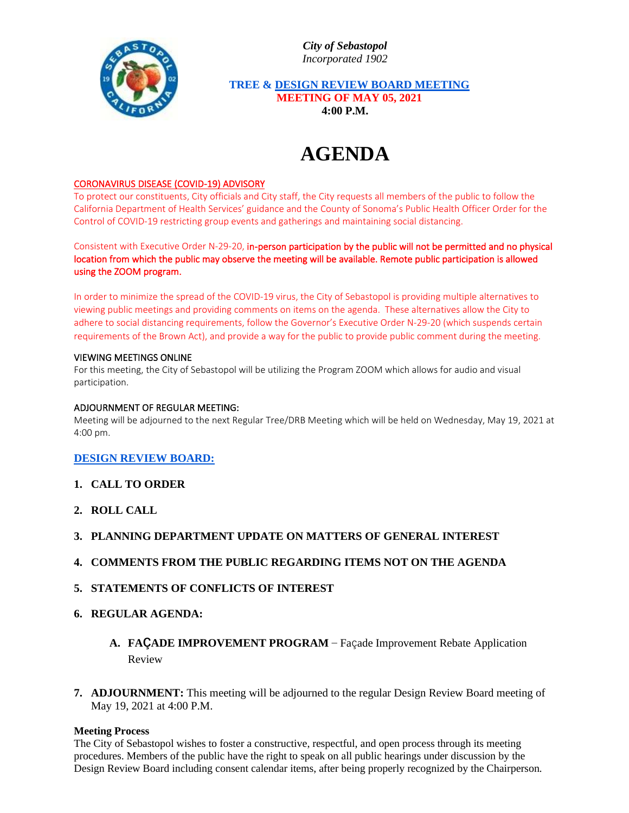*City of Sebastopol Incorporated 1902*



 **TREE & DESIGN REVIEW BOARD MEETING MEETING OF MAY 05, 2021 4:00 P.M.**

# **AGENDA**

# CORONAVIRUS DISEASE (COVID-19) ADVISORY

To protect our constituents, City officials and City staff, the City requests all members of the public to follow the California Department of Health Services' guidance and the County of Sonoma's Public Health Officer Order for the Control of COVID-19 restricting group events and gatherings and maintaining social distancing.

Consistent with Executive Order N-29-20, in-person participation by the public will not be permitted and no physical location from which the public may observe the meeting will be available. Remote public participation is allowed using the ZOOM program.

In order to minimize the spread of the COVID-19 virus, the City of Sebastopol is providing multiple alternatives to viewing public meetings and providing comments on items on the agenda. These alternatives allow the City to adhere to social distancing requirements, follow the Governor's Executive Order N-29-20 (which suspends certain requirements of the Brown Act), and provide a way for the public to provide public comment during the meeting.

# VIEWING MEETINGS ONLINE

For this meeting, the City of Sebastopol will be utilizing the Program ZOOM which allows for audio and visual participation.

#### ADJOURNMENT OF REGULAR MEETING:

Meeting will be adjourned to the next Regular Tree/DRB Meeting which will be held on Wednesday, May 19, 2021 at 4:00 pm.

# **DESIGN REVIEW BOARD:**

- **1. CALL TO ORDER**
- **2. ROLL CALL**
- **3. PLANNING DEPARTMENT UPDATE ON MATTERS OF GENERAL INTEREST**
- **4. COMMENTS FROM THE PUBLIC REGARDING ITEMS NOT ON THE AGENDA**
- **5. STATEMENTS OF CONFLICTS OF INTEREST**

# **6. REGULAR AGENDA:**

- **A. FAÇADE IMPROVEMENT PROGRAM –** Façade Improvement Rebate Application Review
- **7. ADJOURNMENT:** This meeting will be adjourned to the regular Design Review Board meeting of May 19, 2021 at 4:00 P.M.

# **Meeting Process**

The City of Sebastopol wishes to foster a constructive, respectful, and open process through its meeting procedures. Members of the public have the right to speak on all public hearings under discussion by the Design Review Board including consent calendar items, after being properly recognized by the Chairperson.